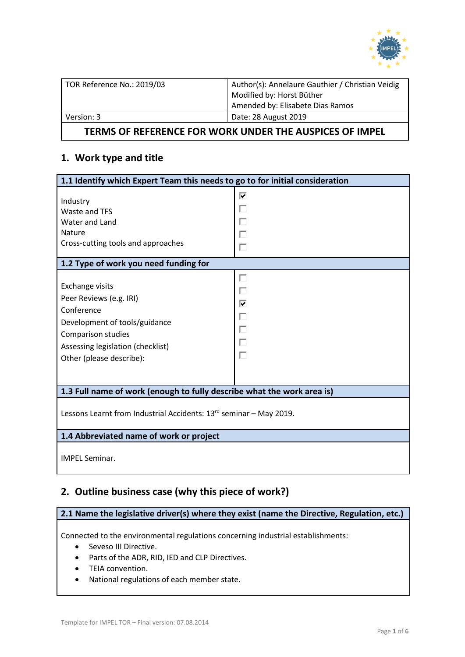

| Version: 3 | Modified by: Horst Büther<br>Amended by: Elisabete Dias Ramos<br>Date: 28 August 2019 |
|------------|---------------------------------------------------------------------------------------|
|            | TEDNAC OF BEFERENIAE FOR WORK UNINER THE AUCRIAEC OF INAREL                           |

#### **TERMS OF REFERENCE FOR WORK UNDER THE AUSPICES OF IMPEL**

# **1. Work type and title**

| 1.1 Identify which Expert Team this needs to go to for initial consideration                                                                                                     |             |  |  |  |
|----------------------------------------------------------------------------------------------------------------------------------------------------------------------------------|-------------|--|--|--|
| Industry<br>Waste and TFS<br>Water and Land<br>Nature<br>Cross-cutting tools and approaches                                                                                      | ◸<br>Г      |  |  |  |
| 1.2 Type of work you need funding for                                                                                                                                            |             |  |  |  |
| Exchange visits<br>Peer Reviews (e.g. IRI)<br>Conference<br>Development of tools/guidance<br>Comparison studies<br>Assessing legislation (checklist)<br>Other (please describe): | г<br>╔<br>Π |  |  |  |
| 1.3 Full name of work (enough to fully describe what the work area is)                                                                                                           |             |  |  |  |
| Lessons Learnt from Industrial Accidents: 13rd seminar - May 2019.                                                                                                               |             |  |  |  |
| 1.4 Abbreviated name of work or project                                                                                                                                          |             |  |  |  |
| <b>IMPEL Seminar.</b>                                                                                                                                                            |             |  |  |  |

# **2. Outline business case (why this piece of work?)**

# **2.1 Name the legislative driver(s) where they exist (name the Directive, Regulation, etc.)**

Connected to the environmental regulations concerning industrial establishments:

- Seveso III Directive.
- Parts of the ADR, RID, IED and CLP Directives.
- TEIA convention.
- National regulations of each member state.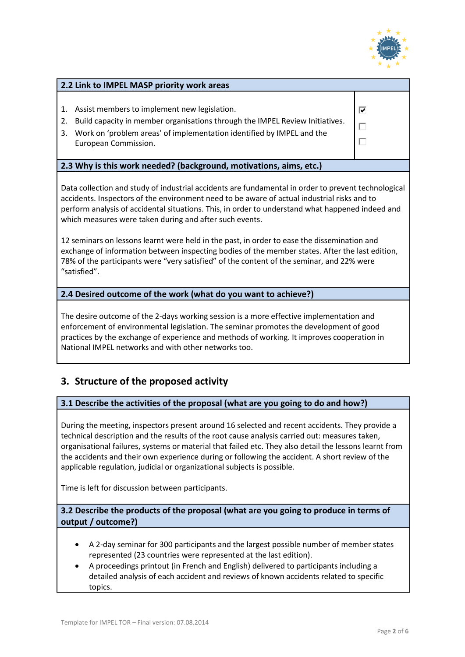

М

П

 $\Box$ 

#### **2.2 Link to IMPEL MASP priority work areas**

- 1. Assist members to implement new legislation.
- 2. Build capacity in member organisations through the IMPEL Review Initiatives.
- 3. Work on 'problem areas' of implementation identified by IMPEL and the European Commission.

#### **2.3 Why is this work needed? (background, motivations, aims, etc.)**

Data collection and study of industrial accidents are fundamental in order to prevent technological accidents. Inspectors of the environment need to be aware of actual industrial risks and to perform analysis of accidental situations. This, in order to understand what happened indeed and which measures were taken during and after such events.

12 seminars on lessons learnt were held in the past, in order to ease the dissemination and exchange of information between inspecting bodies of the member states. After the last edition, 78% of the participants were "very satisfied" of the content of the seminar, and 22% were "satisfied".

#### **2.4 Desired outcome of the work (what do you want to achieve?)**

The desire outcome of the 2-days working session is a more effective implementation and enforcement of environmental legislation. The seminar promotes the development of good practices by the exchange of experience and methods of working. It improves cooperation in National IMPEL networks and with other networks too.

### **3. Structure of the proposed activity**

#### **3.1 Describe the activities of the proposal (what are you going to do and how?)**

During the meeting, inspectors present around 16 selected and recent accidents. They provide a technical description and the results of the root cause analysis carried out: measures taken, organisational failures, systems or material that failed etc. They also detail the lessons learnt from the accidents and their own experience during or following the accident. A short review of the applicable regulation, judicial or organizational subjects is possible.

Time is left for discussion between participants.

#### **3.2 Describe the products of the proposal (what are you going to produce in terms of output / outcome?)**

- A 2-day seminar for 300 participants and the largest possible number of member states represented (23 countries were represented at the last edition).
- A proceedings printout (in French and English) delivered to participants including a detailed analysis of each accident and reviews of known accidents related to specific topics.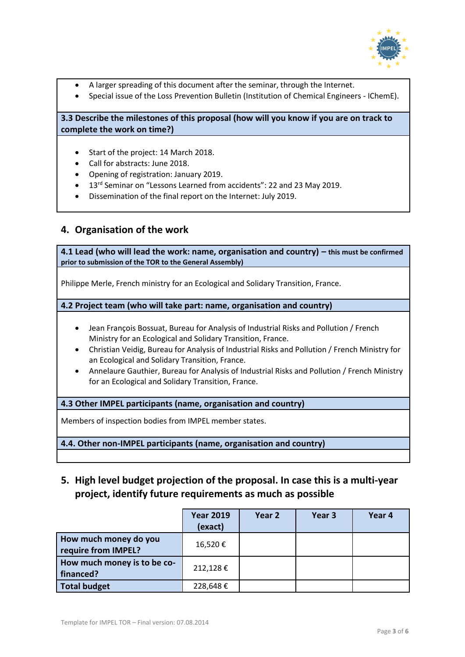

- A larger spreading of this document after the seminar, through the Internet.
- Special issue of the Loss Prevention Bulletin (Institution of Chemical Engineers IChemE).

#### **3.3 Describe the milestones of this proposal (how will you know if you are on track to complete the work on time?)**

- Start of the project: 14 March 2018.
- Call for abstracts: June 2018.
- Opening of registration: January 2019.
- 13<sup>rd</sup> Seminar on "Lessons Learned from accidents": 22 and 23 May 2019.
- Dissemination of the final report on the Internet: July 2019.

#### **4. Organisation of the work**

**4.1 Lead (who will lead the work: name, organisation and country) – this must be confirmed prior to submission of the TOR to the General Assembly)**

Philippe Merle, French ministry for an Ecological and Solidary Transition, France.

**4.2 Project team (who will take part: name, organisation and country)** 

- Jean François Bossuat, Bureau for Analysis of Industrial Risks and Pollution / French Ministry for an Ecological and Solidary Transition, France.
- Christian Veidig, Bureau for Analysis of Industrial Risks and Pollution / French Ministry for an Ecological and Solidary Transition, France.
- Annelaure Gauthier, Bureau for Analysis of Industrial Risks and Pollution / French Ministry for an Ecological and Solidary Transition, France.

**4.3 Other IMPEL participants (name, organisation and country)**

Members of inspection bodies from IMPEL member states.

**4.4. Other non-IMPEL participants (name, organisation and country)**

**5. High level budget projection of the proposal. In case this is a multi-year project, identify future requirements as much as possible**

|                                              | <b>Year 2019</b><br>(exact) | Year 2 | Year <sub>3</sub> | Year 4 |
|----------------------------------------------|-----------------------------|--------|-------------------|--------|
| How much money do you<br>require from IMPEL? | 16,520€                     |        |                   |        |
| How much money is to be co-<br>financed?     | 212,128€                    |        |                   |        |
| <b>Total budget</b>                          | 228,648€                    |        |                   |        |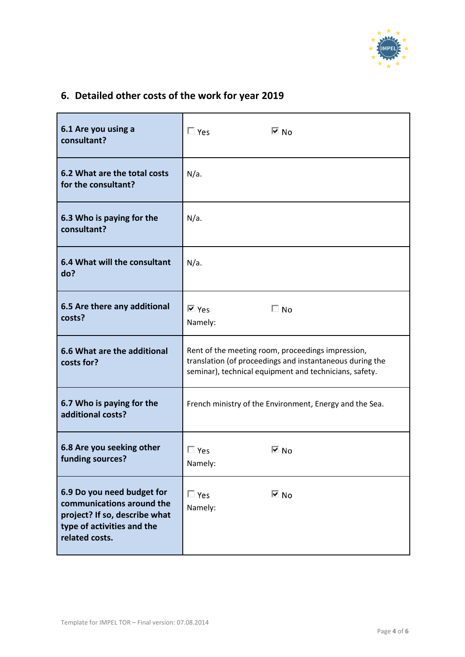

# **6. Detailed other costs of the work for year 2019**

| 6.1 Are you using a<br>consultant?                                                                                                       | $\overline{\phantom{1}}$ No<br>$\Box$ Yes                                                                                                                               |  |  |
|------------------------------------------------------------------------------------------------------------------------------------------|-------------------------------------------------------------------------------------------------------------------------------------------------------------------------|--|--|
| 6.2 What are the total costs<br>for the consultant?                                                                                      | $N/a$ .                                                                                                                                                                 |  |  |
| 6.3 Who is paying for the<br>consultant?                                                                                                 | $N/a$ .                                                                                                                                                                 |  |  |
| 6.4 What will the consultant<br>do?                                                                                                      | $N/a$ .                                                                                                                                                                 |  |  |
| 6.5 Are there any additional<br>costs?                                                                                                   | $\Box$ No<br>$\overline{\triangleright}$ Yes<br>Namely:                                                                                                                 |  |  |
| 6.6 What are the additional<br>costs for?                                                                                                | Rent of the meeting room, proceedings impression,<br>translation (of proceedings and instantaneous during the<br>seminar), technical equipment and technicians, safety. |  |  |
| 6.7 Who is paying for the<br>additional costs?                                                                                           | French ministry of the Environment, Energy and the Sea.                                                                                                                 |  |  |
| 6.8 Are you seeking other<br>funding sources?                                                                                            | $\Box$ Yes<br>l⊡ No<br>Namely:                                                                                                                                          |  |  |
| 6.9 Do you need budget for<br>communications around the<br>project? If so, describe what<br>type of activities and the<br>related costs. | $\Box$ Yes<br>$\overline{\triangleright}$ No<br>Namely:                                                                                                                 |  |  |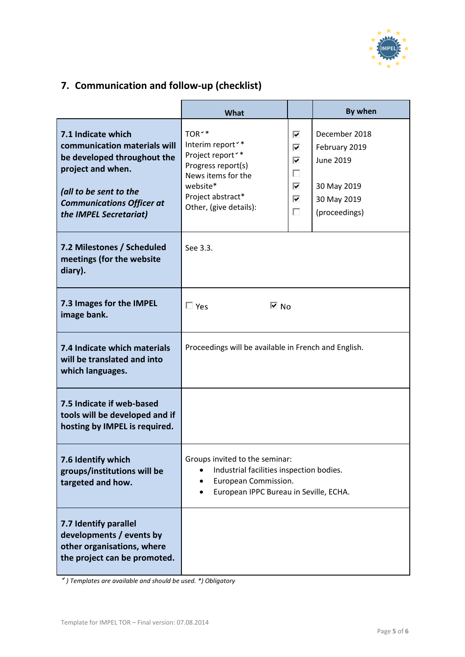

# **7. Communication and follow-up (checklist)**

|                                                                                                                                                                                                | What                                                                                                                                                                                       |                                 | By when                                                                                    |  |
|------------------------------------------------------------------------------------------------------------------------------------------------------------------------------------------------|--------------------------------------------------------------------------------------------------------------------------------------------------------------------------------------------|---------------------------------|--------------------------------------------------------------------------------------------|--|
| 7.1 Indicate which<br>communication materials will<br>be developed throughout the<br>project and when.<br>(all to be sent to the<br><b>Communications Officer at</b><br>the IMPEL Secretariat) | TOR <sup>**</sup><br>Interim report <sup>*</sup> *<br>Project report <sup>*</sup> *<br>Progress report(s)<br>News items for the<br>website*<br>Project abstract*<br>Other, (give details): | ⊽<br>⊽<br>М<br>п<br>М<br>М<br>г | December 2018<br>February 2019<br>June 2019<br>30 May 2019<br>30 May 2019<br>(proceedings) |  |
| 7.2 Milestones / Scheduled<br>meetings (for the website<br>diary).                                                                                                                             | See 3.3.                                                                                                                                                                                   |                                 |                                                                                            |  |
| 7.3 Images for the IMPEL<br>image bank.                                                                                                                                                        | $\Box$ Yes<br>⊡ No                                                                                                                                                                         |                                 |                                                                                            |  |
| 7.4 Indicate which materials<br>will be translated and into<br>which languages.                                                                                                                | Proceedings will be available in French and English.                                                                                                                                       |                                 |                                                                                            |  |
| 7.5 Indicate if web-based<br>tools will be developed and if<br>hosting by IMPEL is required.                                                                                                   |                                                                                                                                                                                            |                                 |                                                                                            |  |
| 7.6 Identify which<br>groups/institutions will be<br>targeted and how.                                                                                                                         | Groups invited to the seminar:<br>Industrial facilities inspection bodies.<br>European Commission.<br>European IPPC Bureau in Seville, ECHA.<br>$\bullet$                                  |                                 |                                                                                            |  |
| 7.7 Identify parallel<br>developments / events by<br>other organisations, where<br>the project can be promoted.                                                                                |                                                                                                                                                                                            |                                 |                                                                                            |  |

*) Templates are available and should be used. \*) Obligatory*